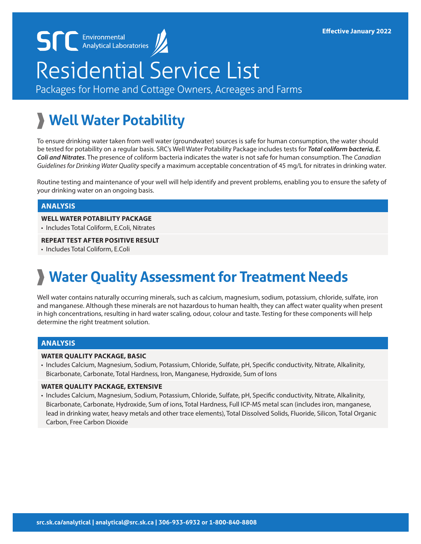# Residential Service List

Packages for Home and Cottage Owners, Acreages and Farms

# **Well Water Potability**

**SCC** Environmental

To ensure drinking water taken from well water (groundwater) sources is safe for human consumption, the water should be tested for potability on a regular basis. SRC's Well Water Potability Package includes tests for *Total coliform bacteria, E. Coli and Nitrates*. The presence of coliform bacteria indicates the water is not safe for human consumption. The *Canadian Guidelines for Drinking Water Quality* specify a maximum acceptable concentration of 45 mg/L for nitrates in drinking water.

Routine testing and maintenance of your well will help identify and prevent problems, enabling you to ensure the safety of your drinking water on an ongoing basis.

#### **ANALYSIS**

#### **WELL WATER POTABILITY PACKAGE**

• Includes Total Coliform, E.Coli, Nitrates

#### **REPEAT TEST AFTER POSITIVE RESULT**

• Includes Total Coliform, E.Coli

## **Water Quality Assessment for Treatment Needs**

Well water contains naturally occurring minerals, such as calcium, magnesium, sodium, potassium, chloride, sulfate, iron and manganese. Although these minerals are not hazardous to human health, they can affect water quality when present in high concentrations, resulting in hard water scaling, odour, colour and taste. Testing for these components will help determine the right treatment solution.

#### **ANALYSIS**

#### **WATER QUALITY PACKAGE, BASIC**

• Includes Calcium, Magnesium, Sodium, Potassium, Chloride, Sulfate, pH, Specific conductivity, Nitrate, Alkalinity, Bicarbonate, Carbonate, Total Hardness, Iron, Manganese, Hydroxide, Sum of Ions

#### **WATER QUALITY PACKAGE, EXTENSIVE**

• Includes Calcium, Magnesium, Sodium, Potassium, Chloride, Sulfate, pH, Specific conductivity, Nitrate, Alkalinity, Bicarbonate, Carbonate, Hydroxide, Sum of ions, Total Hardness, Full ICP-MS metal scan (includes iron, manganese, lead in drinking water, heavy metals and other trace elements), Total Dissolved Solids, Fluoride, Silicon, Total Organic Carbon, Free Carbon Dioxide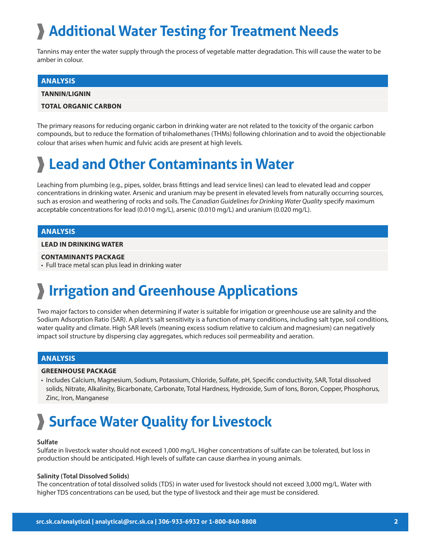# **Additional Water Testing for Treatment Needs**

Tannins may enter the water supply through the process of vegetable matter degradation. This will cause the water to be amber in colour.

#### **ANALYSIS**

**TANNIN/LIGNIN**

#### **TOTAL ORGANIC CARBON**

The primary reasons for reducing organic carbon in drinking water are not related to the toxicity of the organic carbon compounds, but to reduce the formation of trihalomethanes (THMs) following chlorination and to avoid the objectionable colour that arises when humic and fulvic acids are present at high levels.

### **Lead and Other Contaminants in Water**

Leaching from plumbing (e.g., pipes, solder, brass fittings and lead service lines) can lead to elevated lead and copper concentrations in drinking water. Arsenic and uranium may be present in elevated levels from naturally occurring sources, such as erosion and weathering of rocks and soils. The *Canadian Guidelines for Drinking Water Quality* specify maximum acceptable concentrations for lead (0.010 mg/L), arsenic (0.010 mg/L) and uranium (0.020 mg/L).

#### **ANALYSIS**

#### **LEAD IN DRINKING WATER**

#### **CONTAMINANTS PACKAGE**

• Full trace metal scan plus lead in drinking water

### **Irrigation and Greenhouse Applications**

Two major factors to consider when determining if water is suitable for irrigation or greenhouse use are salinity and the Sodium Adsorption Ratio (SAR). A plant's salt sensitivity is a function of many conditions, including salt type, soil conditions, water quality and climate. High SAR levels (meaning excess sodium relative to calcium and magnesium) can negatively impact soil structure by dispersing clay aggregates, which reduces soil permeability and aeration.

#### **ANALYSIS**

#### **GREENHOUSE PACKAGE**

• Includes Calcium, Magnesium, Sodium, Potassium, Chloride, Sulfate, pH, Specific conductivity, SAR, Total dissolved solids, Nitrate, Alkalinity, Bicarbonate, Carbonate, Total Hardness, Hydroxide, Sum of Ions, Boron, Copper, Phosphorus, Zinc, Iron, Manganese

### **Surface Water Quality for Livestock**

#### **Sulfate**

Sulfate in livestock water should not exceed 1,000 mg/L. Higher concentrations of sulfate can be tolerated, but loss in production should be anticipated. High levels of sulfate can cause diarrhea in young animals.

#### **Salinity (Total Dissolved Solids)**

The concentration of total dissolved solids (TDS) in water used for livestock should not exceed 3,000 mg/L. Water with higher TDS concentrations can be used, but the type of livestock and their age must be considered.